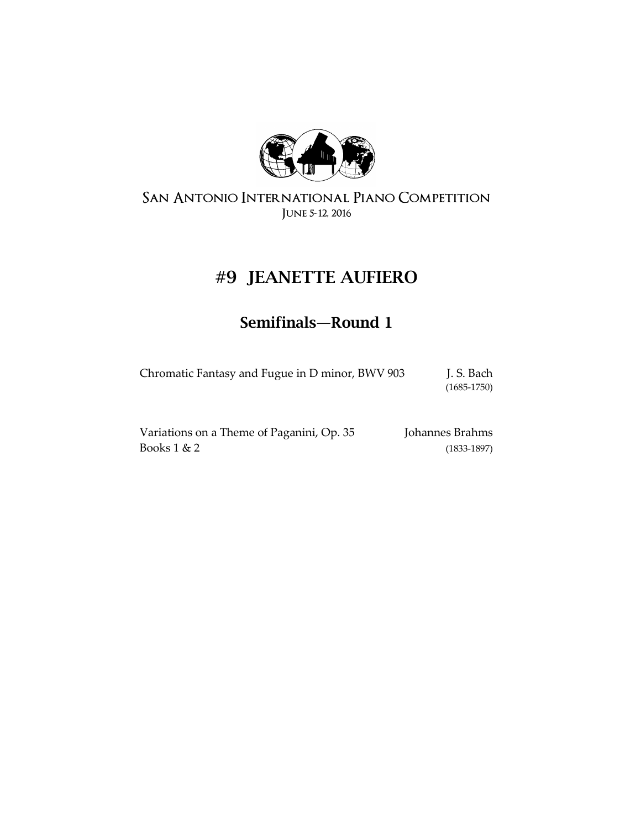

# **#9 JEANETTE AUFIERO**

# **Semifinals—Round 1**

| Chromatic Fantasy and Fugue in D minor, BWV 903 | J. S. Bach      |
|-------------------------------------------------|-----------------|
|                                                 | $(1685 - 1750)$ |

| Variations on a Theme of Paganini, Op. 35 | Johannes Brahms |
|-------------------------------------------|-----------------|
| Books $1 < 2$                             | $(1833 - 1897)$ |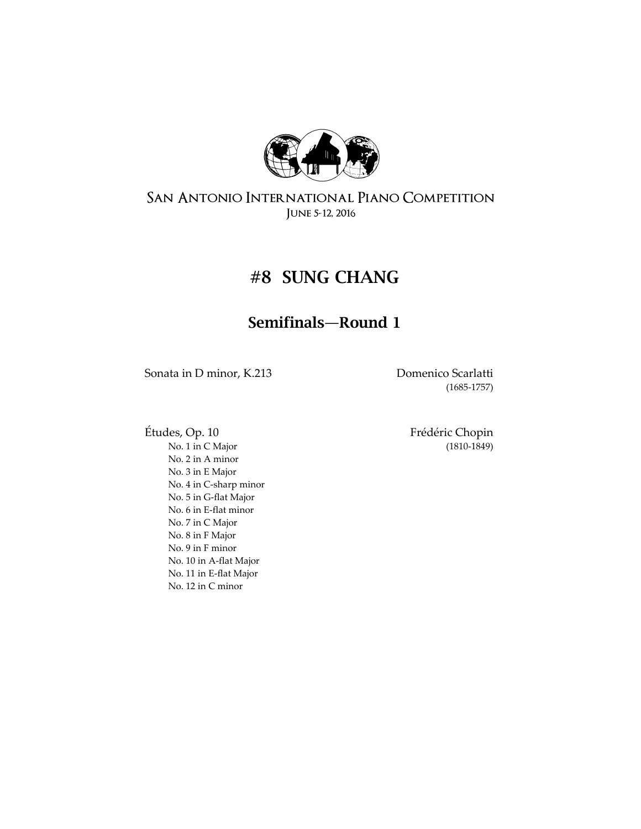

# **#8 SUNG CHANG**

### **Semifinals—Round 1**

Sonata in D minor, K.213 Domenico Scarlatti

(1685-1757)

[No. 1](https://en.wikipedia.org/wiki/%C3%89tude_Op._10,_No._1_%28Chopin%29) in [C Major](https://en.wikipedia.org/wiki/C_major) (1810-1849) [No. 2](https://en.wikipedia.org/wiki/%C3%89tude_Op._10,_No._2_%28Chopin%29) in A minor [No. 3 in E](https://en.wikipedia.org/wiki/%C3%89tude_Op._10,_No._3_%28Chopin%29) Major [No. 4](https://en.wikipedia.org/wiki/%C3%89tude_Op._10,_No._4_%28Chopin%29) in [C-sharp minor](https://en.wikipedia.org/wiki/C-sharp_minor) [No. 5](https://en.wikipedia.org/wiki/%C3%89tude_Op._10,_No._5_%28Chopin%29) in [G-flat Major](https://en.wikipedia.org/wiki/G-flat_major) [No. 6](https://en.wikipedia.org/wiki/%C3%89tude_Op._10,_No._6_%28Chopin%29) in [E-flat minor](https://en.wikipedia.org/wiki/E-flat_minor) [No. 7](https://en.wikipedia.org/wiki/%C3%89tude_Op._10,_No._7_%28Chopin%29) in [C Major](https://en.wikipedia.org/wiki/C_major) [No. 8](https://en.wikipedia.org/wiki/%C3%89tude_Op._10,_No._8_%28Chopin%29) in [F Major](https://en.wikipedia.org/wiki/F_major) [No. 9](https://en.wikipedia.org/wiki/%C3%89tude_Op._10,_No._9_%28Chopin%29) in [F minor](https://en.wikipedia.org/wiki/F_minor) [No. 10](https://en.wikipedia.org/wiki/%C3%89tude_Op._10,_No._10_%28Chopin%29) in [A-flat Major](https://en.wikipedia.org/wiki/A-flat_major) [No. 11](https://en.wikipedia.org/wiki/%C3%89tude_Op._10,_No._11_%28Chopin%29) in [E-flat Major](https://en.wikipedia.org/wiki/E-flat_major) [No. 12](https://en.wikipedia.org/wiki/%C3%89tude_Op._10,_No._12_%28Chopin%29) in [C minor](https://en.wikipedia.org/wiki/C_minor)

Études, Op. 10 Frédéric Chopin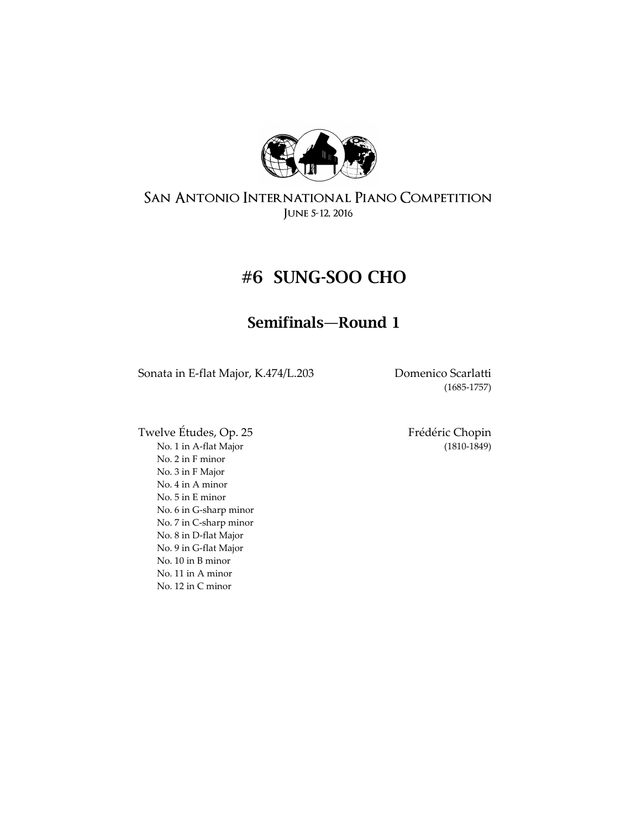

### **#6 SUNG-SOO CHO**

### **Semifinals—Round 1**

Sonata in E-flat Major, K.474/L.203 Domenico Scarlatti

(1685-1757)

Twelve Études, Op. 25 Frédéric Chopin [No. 1](https://en.wikipedia.org/wiki/%C3%89tude_Op._25,_No._1_%28Chopin%29) in [A-flat Major](https://en.wikipedia.org/wiki/A-flat_major) (1810-1849) [No. 2](https://en.wikipedia.org/wiki/%C3%89tude_Op._25,_No._2_%28Chopin%29) in [F minor](https://en.wikipedia.org/wiki/F_minor) [No. 3](https://en.wikipedia.org/wiki/%C3%89tude_Op._25,_No._3_%28Chopin%29) in [F Major](https://en.wikipedia.org/wiki/F_major) [No. 4](https://en.wikipedia.org/wiki/%C3%89tude_Op._25,_No._4_%28Chopin%29) in [A minor](https://en.wikipedia.org/wiki/A_minor) [No. 5](https://en.wikipedia.org/wiki/%C3%89tude_Op._25,_No._5_%28Chopin%29) in [E minor](https://en.wikipedia.org/wiki/E_minor) [No. 6](https://en.wikipedia.org/wiki/%C3%89tude_Op._25,_No._6_%28Chopin%29) in [G-sharp minor](https://en.wikipedia.org/wiki/G-sharp_minor) [No. 7](https://en.wikipedia.org/wiki/%C3%89tude_Op._25,_No._7_%28Chopin%29) in [C-sharp minor](https://en.wikipedia.org/wiki/C-sharp_minor) [No. 8](https://en.wikipedia.org/wiki/%C3%89tude_Op._25,_No._8_%28Chopin%29) in [D-flat Major](https://en.wikipedia.org/wiki/D-flat_major) [No. 9](https://en.wikipedia.org/wiki/%C3%89tude_Op._25,_No._9_%28Chopin%29) in [G-flat Major](https://en.wikipedia.org/wiki/G-flat_major) [No. 10](https://en.wikipedia.org/wiki/%C3%89tude_Op._25,_No._10_%28Chopin%29) in [B minor](https://en.wikipedia.org/wiki/B_minor) [No. 11](https://en.wikipedia.org/wiki/%C3%89tude_Op._25,_No._11_%28Chopin%29) in [A minor](https://en.wikipedia.org/wiki/A_minor) [No. 12](https://en.wikipedia.org/wiki/%C3%89tude_Op._25,_No._12_%28Chopin%29) in [C minor](https://en.wikipedia.org/wiki/C_minor)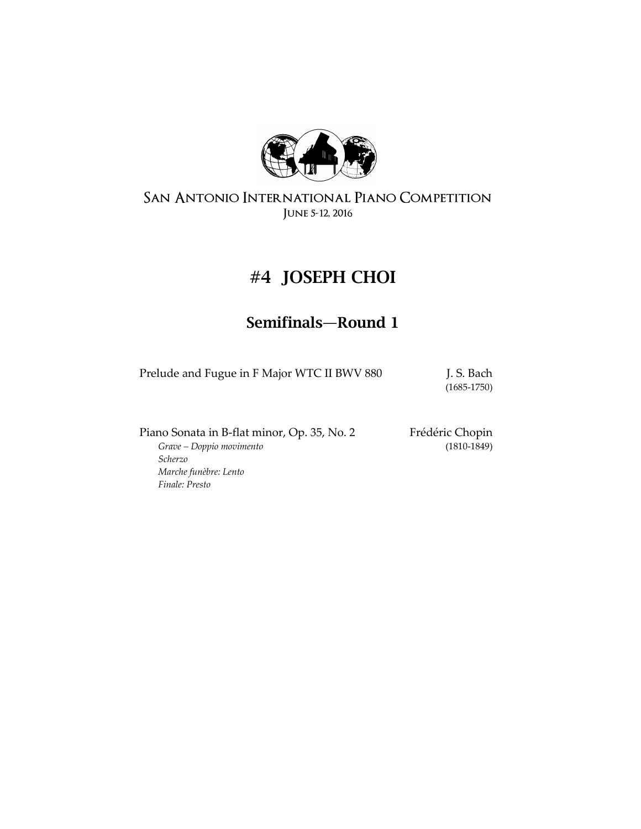

# **#4 JOSEPH CHOI**

### **Semifinals—Round 1**

Prelude and Fugue in F Major WTC II BWV 880 J.S. Bach

(1685-1750)

Piano Sonata in B-flat minor, Op. 35, No. 2 Frédéric Chopin Grave - Doppio movimento (1810-1849)

 $Grave - Doppio movimento$ *Scherzo Marche funèbre: Lento Finale: Presto*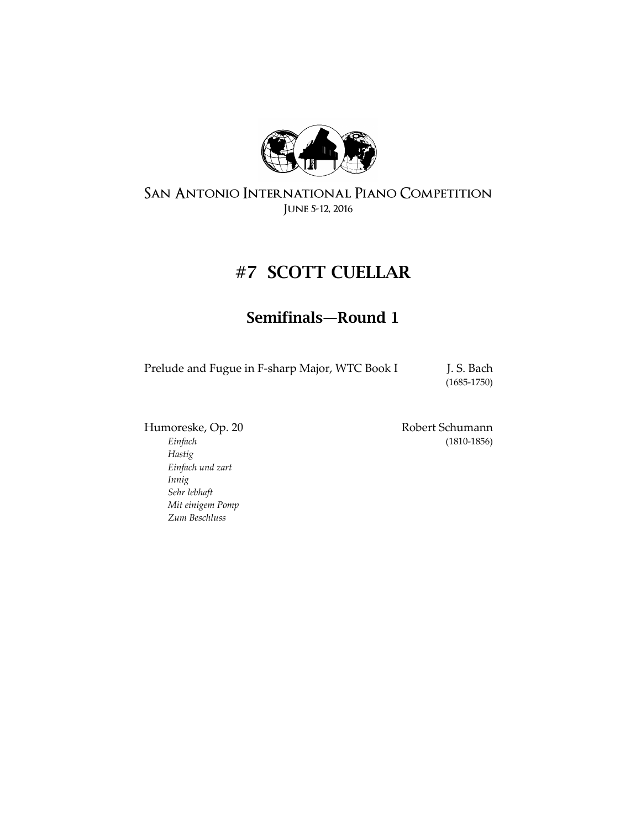

# **#7 SCOTT CUELLAR**

### **Semifinals—Round 1**

Prelude and Fugue in F-sharp Major, WTC Book I J. S. Bach

(1685-1750)

*Hastig Einfach und zart Innig Sehr lebhaft Mit einigem Pomp Zum Beschluss*

Humoreske, Op. 20 Robert Schumann *Einfach* (1810-1856)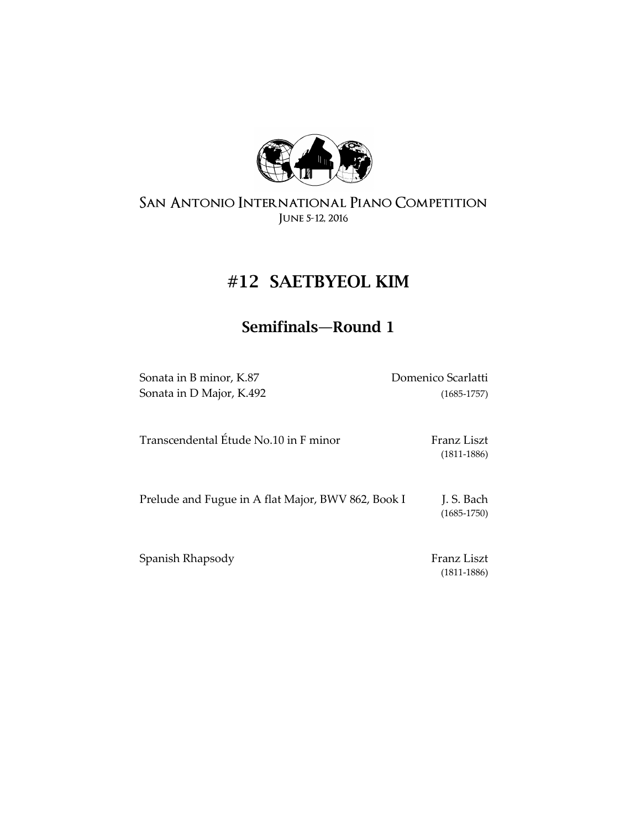

# **#12 SAETBYEOL KIM**

## **Semifinals—Round 1**

Sonata in B minor, K.87 Domenico Scarlatti Sonata in D Major, K.492 (1685-1757)

| Transcendental Étude No.10 in F minor | Franz Liszt     |
|---------------------------------------|-----------------|
|                                       | $(1811 - 1886)$ |
|                                       |                 |

Prelude and Fugue in A flat Major, BWV 862, Book I J. S. Bach (1685-1750)

Spanish Rhapsody Franz Liszt

(1811-1886)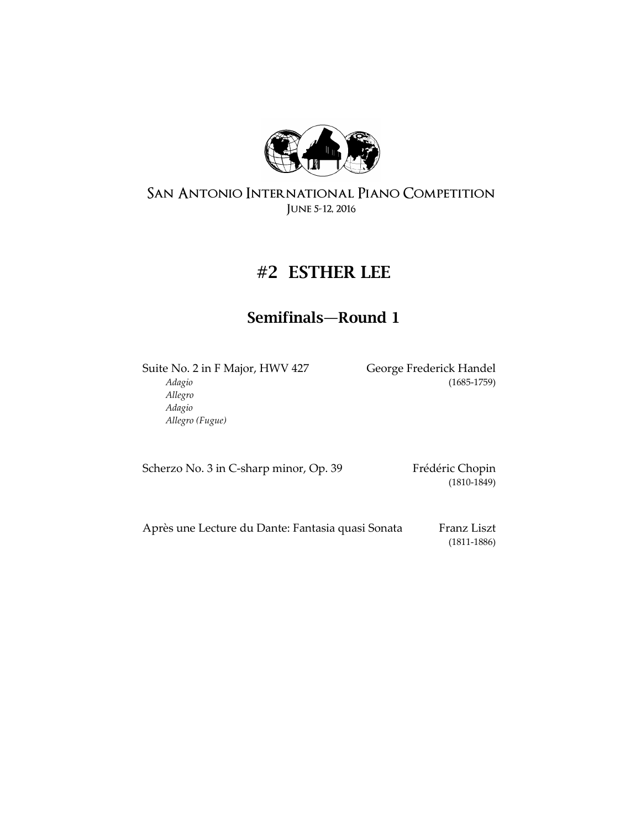

### **#2 ESTHER LEE**

### **Semifinals—Round 1**

Suite No. 2 in F Major, HWV 427 George Frederick Handel *Adagio* (1685-1759) *Allegro Adagio Allegro (Fugue)*

Scherzo No. 3 in C-sharp minor, Op. 39 Frédéric Chopin

(1810-1849)

Après une Lecture du Dante: Fantasia quasi Sonata Franz Liszt (1811-1886)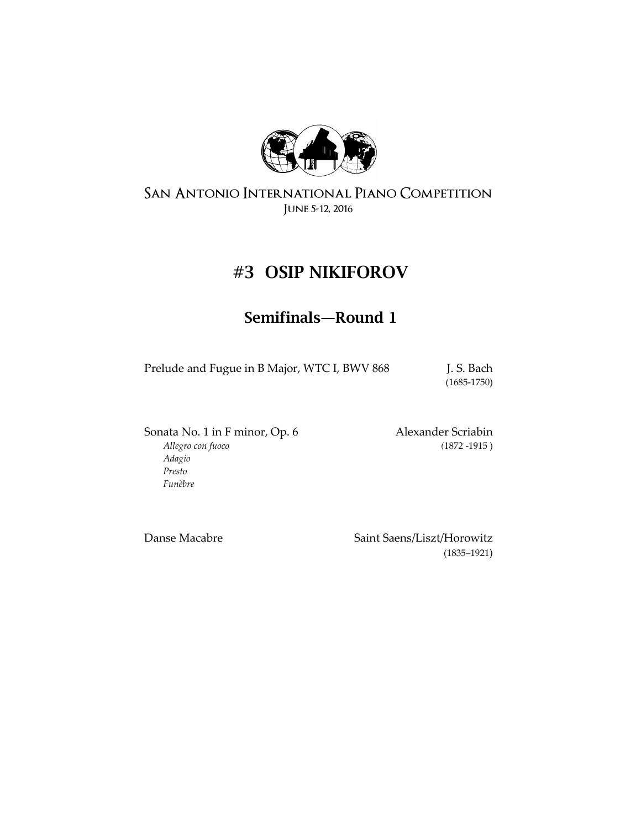

# **#3 OSIP NIKIFOROV**

### **Semifinals—Round 1**

Prelude and Fugue in B Major, WTC I, BWV 868 J.S. Bach

(1685-1750)

Sonata No. 1 in F minor, Op. 6 Alexander Scriabin *Allegro con fuoco (*1872 -1915 ) *Adagio Presto Funèbre*

Danse Macabre Saint Saens/Liszt/Horowitz (1835–1921)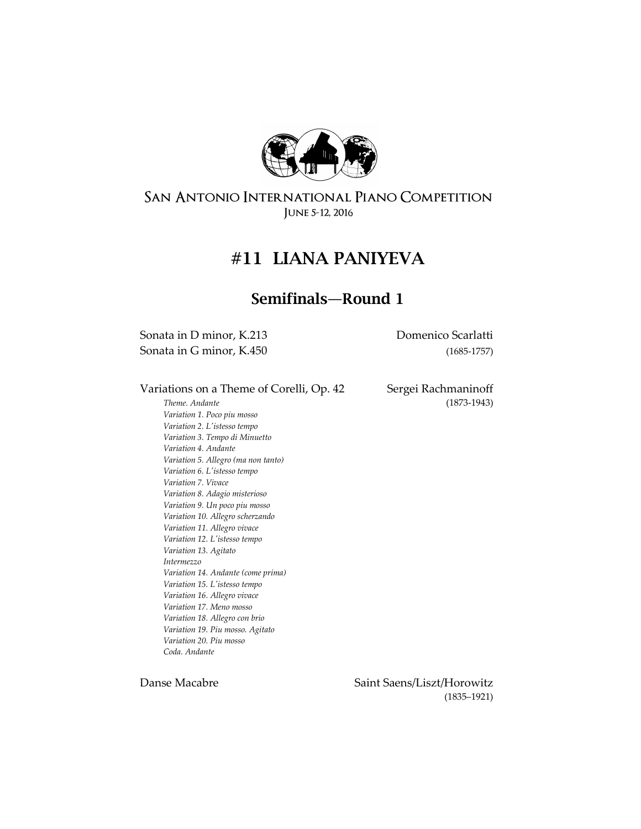

### **#11 LIANA PANIYEVA**

### **Semifinals—Round 1**

Sonata in D minor, K.213 Domenico Scarlatti Sonata in G minor, K.450 (1685-1757)

Variations on a Theme of Corelli, Op. 42 Sergei Rachmaninoff

*Theme. Andante* (1873-1943) *Variation 1. Poco piu mosso Variation 2. L'istesso tempo Variation 3. Tempo di Minuetto Variation 4. Andante Variation 5. Allegro (ma non tanto) Variation 6. L'istesso tempo Variation 7. Vivace Variation 8. Adagio misterioso Variation 9. Un poco piu mosso Variation 10. Allegro scherzando Variation 11. Allegro vivace Variation 12. L'istesso tempo Variation 13. Agitato Intermezzo Variation 14. Andante (come prima) Variation 15. L'istesso tempo Variation 16. Allegro vivace Variation 17. Meno mosso Variation 18. Allegro con brio Variation 19. Piu mosso. Agitato Variation 20. Piu mosso Coda. Andante*

Danse Macabre Saint Saens/Liszt/Horowitz (1835–1921)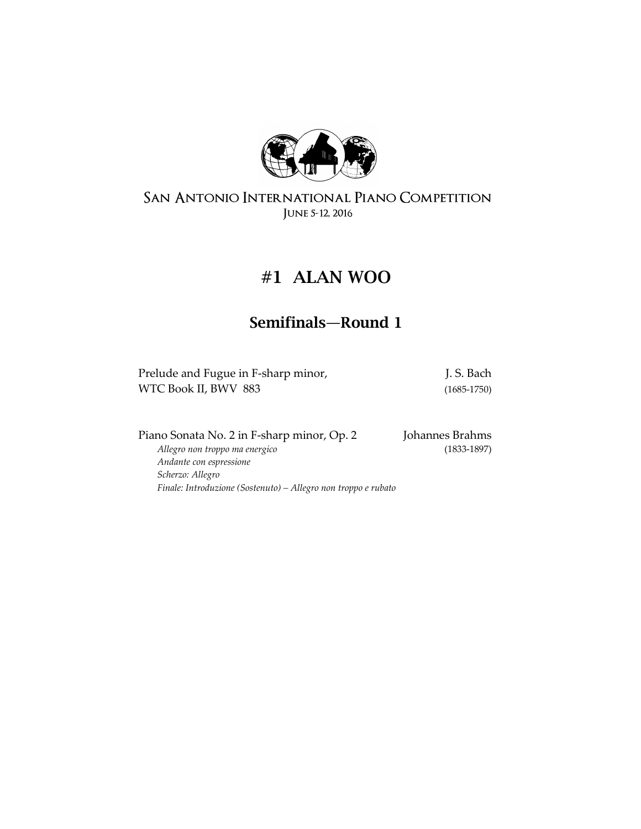

# **#1 ALAN WOO**

## **Semifinals—Round 1**

| Prelude and Fugue in F-sharp minor, | J. S. Bach      |
|-------------------------------------|-----------------|
| WTC Book II, BWV 883                | $(1685 - 1750)$ |

| Piano Sonata No. 2 in F-sharp minor, Op. 2                     | Johannes Brahms |
|----------------------------------------------------------------|-----------------|
| Allegro non troppo ma energico                                 | $(1833-1897)$   |
| Andante con espressione                                        |                 |
| Scherzo: Allegro                                               |                 |
| Finale: Introduzione (Sostenuto) – Allegro non troppo e rubato |                 |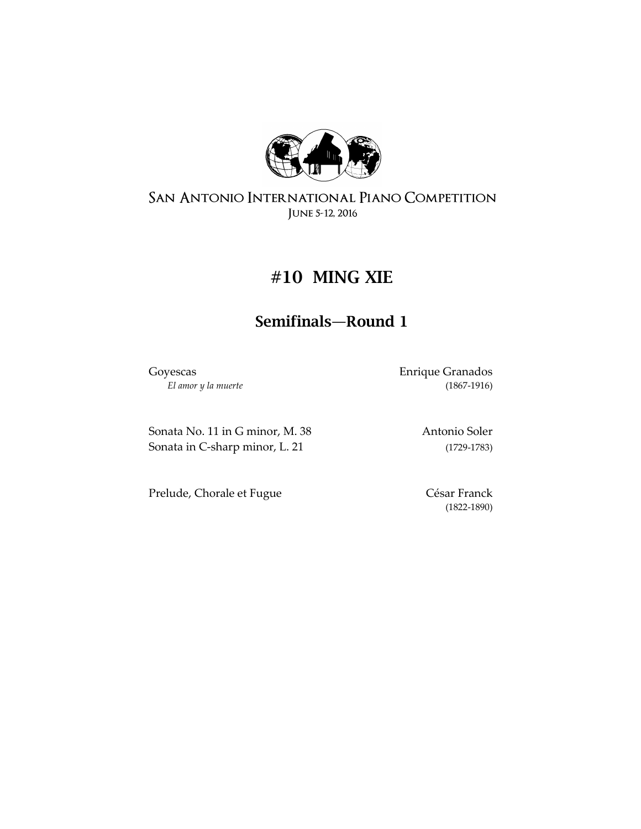

## **#10 MING XIE**

### **Semifinals—Round 1**

Goyescas Enrique Granados *El amor y la muerte* (1867-1916)

Sonata No. 11 in G minor, M. 38 Antonio Soler Sonata in C-sharp minor, L. 21 (1729-1783)

Prelude, Chorale et Fugue César Franck

(1822-1890)